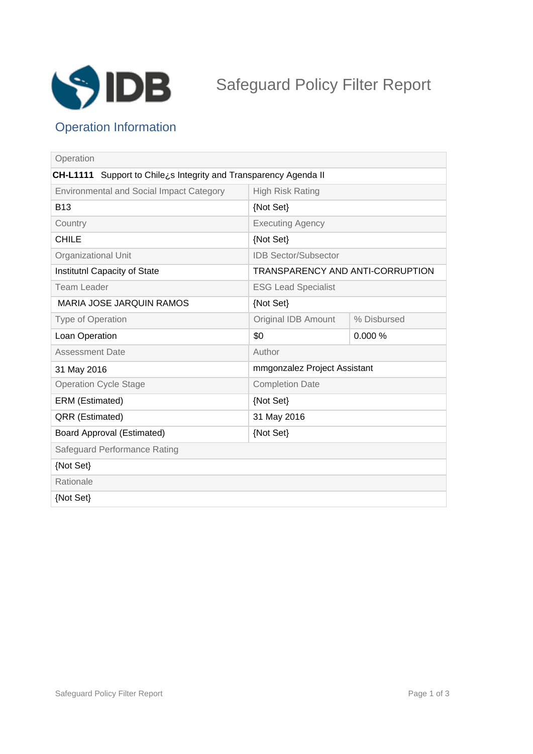

# Safeguard Policy Filter Report

## Operation Information

| Operation                                                                  |                                  |             |
|----------------------------------------------------------------------------|----------------------------------|-------------|
| <b>CH-L1111</b><br>Support to Chilezs Integrity and Transparency Agenda II |                                  |             |
| <b>Environmental and Social Impact Category</b>                            | <b>High Risk Rating</b>          |             |
| <b>B13</b>                                                                 | {Not Set}                        |             |
| Country                                                                    | <b>Executing Agency</b>          |             |
| <b>CHILE</b>                                                               | {Not Set}                        |             |
| Organizational Unit                                                        | <b>IDB Sector/Subsector</b>      |             |
| Institutnl Capacity of State                                               | TRANSPARENCY AND ANTI-CORRUPTION |             |
| Team Leader                                                                | <b>ESG Lead Specialist</b>       |             |
| <b>MARIA JOSE JARQUIN RAMOS</b>                                            | {Not Set}                        |             |
| <b>Type of Operation</b>                                                   | Original IDB Amount              | % Disbursed |
| Loan Operation                                                             | \$0                              | 0.000%      |
| <b>Assessment Date</b>                                                     | Author                           |             |
| 31 May 2016                                                                | mmgonzalez Project Assistant     |             |
| <b>Operation Cycle Stage</b>                                               | <b>Completion Date</b>           |             |
| ERM (Estimated)                                                            | {Not Set}                        |             |
| QRR (Estimated)                                                            | 31 May 2016                      |             |
| <b>Board Approval (Estimated)</b>                                          | {Not Set}                        |             |
| Safeguard Performance Rating                                               |                                  |             |
| {Not Set}                                                                  |                                  |             |
| Rationale                                                                  |                                  |             |
| {Not Set}                                                                  |                                  |             |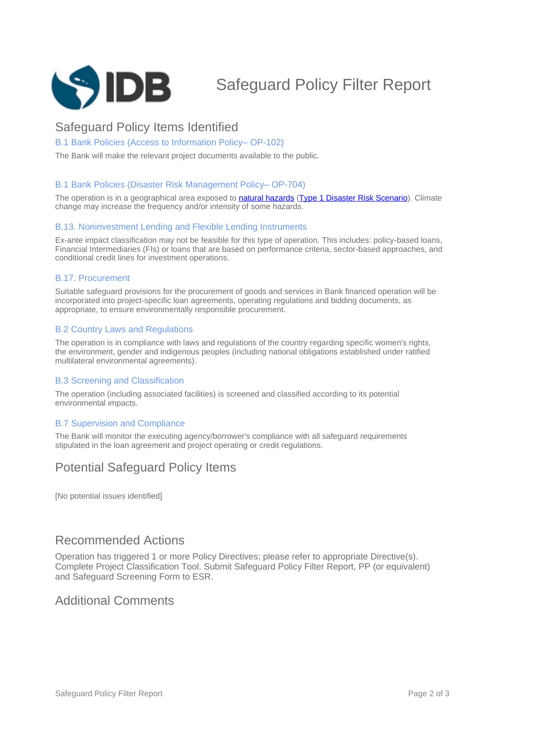

## Safeguard Policy Filter Report

## Safeguard Policy Items Identified

#### B.1 Bank Policies (Access to Information Policy-OP-102)

The Bank will make the relevant project documents available to the public.

#### B.1 Bank Policies (Disaster Risk Management Policy-OP-704)

The operation is in a geographical area exposed to natural hazards (Type 1 Disaster Risk Scenario). Climate change may increase the frequency and/or intensity of some hazards.

#### B.13. Noninvestment Lending and Flexible Lending Instruments

Ex-ante impact classification may not be feasible for this type of operation. This includes: policy-based loans, Financial Intermediaries (FIs) or loans that are based on performance criteria, sector-based approaches, and conditional credit lines for investment operations.

#### B.17. Procurement

Suitable safeguard provisions for the procurement of goods and services in Bank financed operation will be incorporated into project-specific loan agreements, operating regulations and bidding documents, as appropriate, to ensure environmentally responsible procurement.

#### B.2 Country Laws and Regulations

The operation is in compliance with laws and regulations of the country regarding specific women's rights, the environment, gender and indigenous peoples (including national obligations established under ratified multilateral environmental agreements).

#### B.3 Screening and Classification

The operation (including associated facilities) is screened and classified according to its potential environmental impacts.

#### B.7 Supervision and Compliance

The Bank will monitor the executing agency/borrower's compliance with all safeguard requirements stipulated in the loan agreement and project operating or credit regulations.

## Potential Safeguard Policy Items

[No potential issues identified]

### Recommended Actions

Operation has triggered 1 or more Policy Directives; please refer to appropriate Directive(s). Complete Project Classification Tool. Submit Safeguard Policy Filter Report, PP (or equivalent) and Safeguard Screening Form to ESR.

### Additional Comments